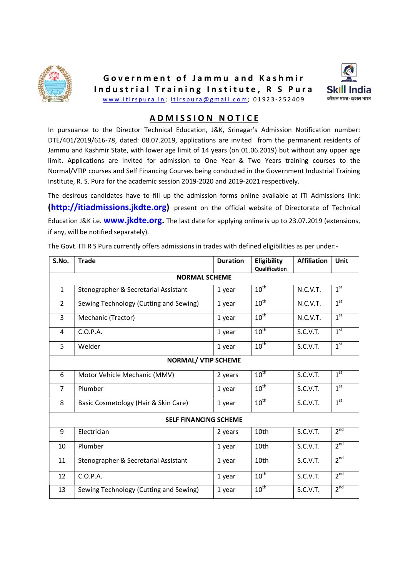



## A D M I S S I O N N O T I C E

In pursuance to the Director Technical Education, J&K, Srinagar's Admission Notification number: DTE/401/2019/616-78, dated: 08.07.2019, applications are invited from the permanent residents of Jammu and Kashmir State, with lower age limit of 14 years (on 01.06.2019) but without any upper age limit. Applications are invited for admission to One Year & Two Years training courses to the Normal/VTIP courses and Self Financing Courses being conducted in the Government Industrial Training Institute, R. S. Pura for the academic session 2019-2020 and 2019-2021 respectively.

The desirous candidates have to fill up the admission forms online available at ITI Admissions link: (http://itiadmissions.jkdte.org) present on the official website of Directorate of Technical Education J&K i.e. **www.jkdte.org.** The last date for applying online is up to 23.07.2019 (extensions, if any, will be notified separately).

| <b>Trade</b>                           | <b>Duration</b> | Eligibility      | <b>Affiliation</b> | Unit            |  |  |  |  |
|----------------------------------------|-----------------|------------------|--------------------|-----------------|--|--|--|--|
| <b>NORMAL SCHEME</b>                   |                 |                  |                    |                 |  |  |  |  |
| Stenographer & Secretarial Assistant   | 1 year          | $10^{\text{th}}$ | N.C.V.T.           | 1 <sup>st</sup> |  |  |  |  |
| Sewing Technology (Cutting and Sewing) | 1 year          | $10^{\text{th}}$ | N.C.V.T.           | 1 <sup>st</sup> |  |  |  |  |
| Mechanic (Tractor)                     | 1 year          | $10^{\text{th}}$ | N.C.V.T.           | 1 <sup>st</sup> |  |  |  |  |
| C.O.P.A.                               | 1 year          | $10^{\text{th}}$ | S.C.V.T.           | 1 <sup>st</sup> |  |  |  |  |
| Welder                                 | 1 year          | $10^{\text{th}}$ | S.C.V.T.           | 1 <sup>st</sup> |  |  |  |  |
| <b>NORMAL/ VTIP SCHEME</b>             |                 |                  |                    |                 |  |  |  |  |
| Motor Vehicle Mechanic (MMV)           | 2 years         | $10^{\text{th}}$ | S.C.V.T.           | 1 <sup>st</sup> |  |  |  |  |
| Plumber                                | 1 year          | $10^{\text{th}}$ | S.C.V.T.           | 1 <sup>st</sup> |  |  |  |  |
| Basic Cosmetology (Hair & Skin Care)   | 1 year          | $10^{\text{th}}$ | S.C.V.T.           | 1 <sup>st</sup> |  |  |  |  |
| <b>SELF FINANCING SCHEME</b>           |                 |                  |                    |                 |  |  |  |  |
| Electrician                            | 2 years         | 10th             | S.C.V.T.           | 2 <sup>nd</sup> |  |  |  |  |
| Plumber                                | 1 year          | 10th             | S.C.V.T.           | 2 <sup>nd</sup> |  |  |  |  |
| Stenographer & Secretarial Assistant   | 1 year          | 10th             | S.C.V.T.           | 2 <sup>nd</sup> |  |  |  |  |
| C.O.P.A.                               | 1 year          | $10^{\text{th}}$ | S.C.V.T.           | 2 <sup>nd</sup> |  |  |  |  |
| Sewing Technology (Cutting and Sewing) | 1 year          | $10^{\text{th}}$ | S.C.V.T.           | 2 <sup>nd</sup> |  |  |  |  |
|                                        |                 |                  | Qualification      |                 |  |  |  |  |

The Govt. ITI R S Pura currently offers admissions in trades with defined eligibilities as per under:-